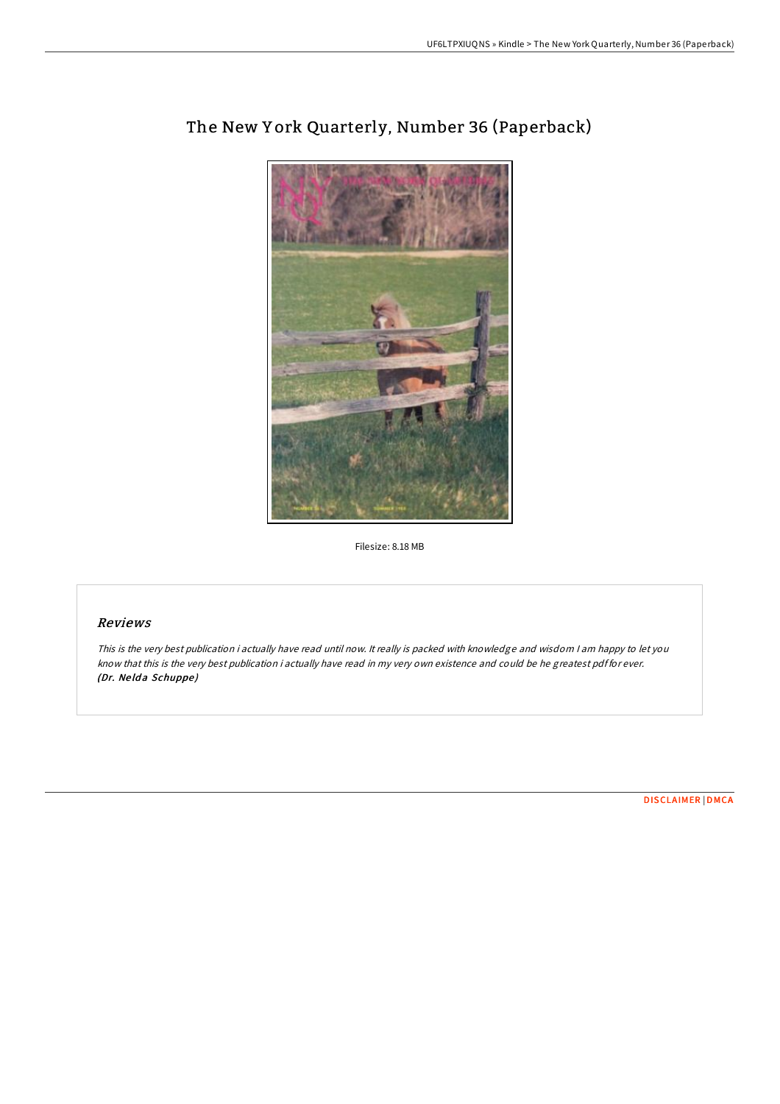

# The New Y ork Quarterly, Number 36 (Paperback)

Filesize: 8.18 MB

### Reviews

This is the very best publication i actually have read until now. It really is packed with knowledge and wisdom I am happy to let you know that this is the very best publication i actually have read in my very own existence and could be he greatest pdf for ever. (Dr. Nelda Schuppe)

[DISCLAIMER](http://almighty24.tech/disclaimer.html) | [DMCA](http://almighty24.tech/dmca.html)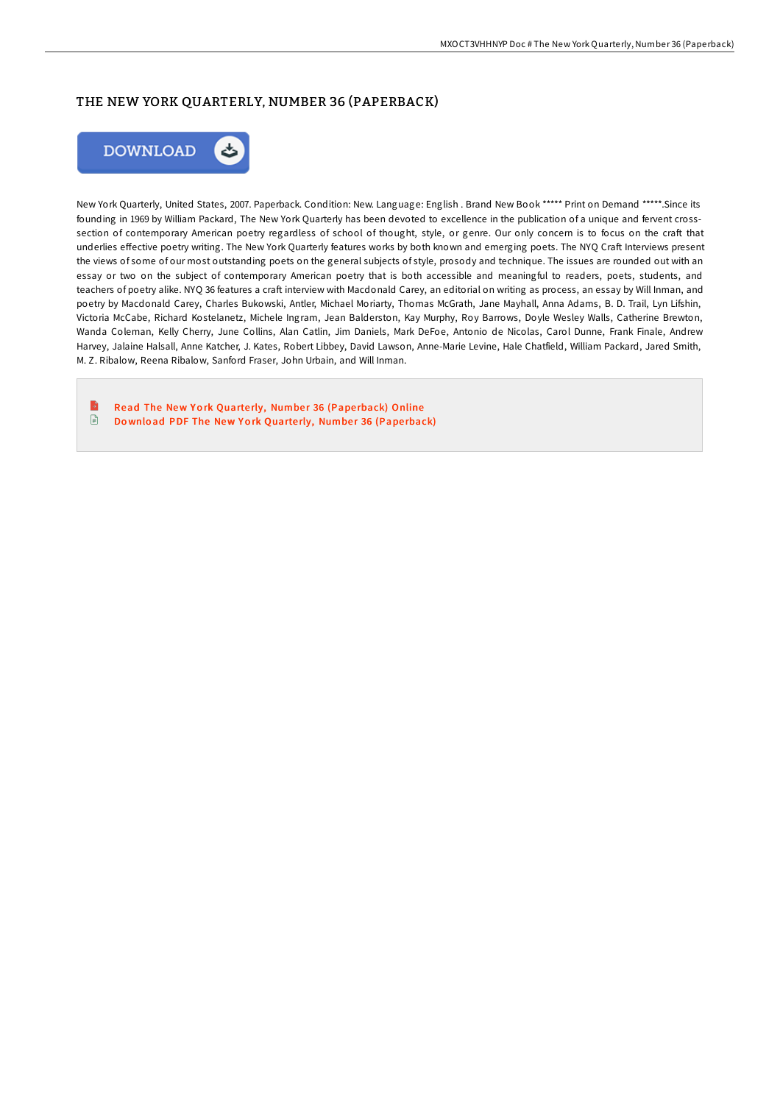## THE NEW YORK QUARTERLY, NUMBER 36 (PAPERBACK)



New York Quarterly, United States, 2007. Paperback. Condition: New. Language: English . Brand New Book \*\*\*\*\* Print on Demand \*\*\*\*\*.Since its founding in 1969 by William Packard, The New York Quarterly has been devoted to excellence in the publication of a unique and fervent crosssection of contemporary American poetry regardless of school of thought, style, or genre. Our only concern is to focus on the craft that underlies effective poetry writing. The New York Quarterly features works by both known and emerging poets. The NYQ Craft Interviews present the views of some of our most outstanding poets on the general subjects of style, prosody and technique. The issues are rounded out with an essay or two on the subject of contemporary American poetry that is both accessible and meaningful to readers, poets, students, and teachers of poetry alike. NYQ 36 features a craft interview with Macdonald Carey, an editorial on writing as process, an essay by Will Inman, and poetry by Macdonald Carey, Charles Bukowski, Antler, Michael Moriarty, Thomas McGrath, Jane Mayhall, Anna Adams, B. D. Trail, Lyn Lifshin, Victoria McCabe, Richard Kostelanetz, Michele Ingram, Jean Balderston, Kay Murphy, Roy Barrows, Doyle Wesley Walls, Catherine Brewton, Wanda Coleman, Kelly Cherry, June Collins, Alan Catlin, Jim Daniels, Mark DeFoe, Antonio de Nicolas, Carol Dunne, Frank Finale, Andrew Harvey, Jalaine Halsall, Anne Katcher, J. Kates, Robert Libbey, David Lawson, Anne-Marie Levine, Hale Chatfield, William Packard, Jared Smith, M. Z. Ribalow, Reena Ribalow, Sanford Fraser, John Urbain, and Will Inman.

B Read The New York Quarterly, [Numbe](http://almighty24.tech/the-new-york-quarterly-number-36-paperback.html)r 36 (Paperback) Online  $\begin{array}{c} \hline \Xi \end{array}$ Download PDF The New York Quarterly, [Numbe](http://almighty24.tech/the-new-york-quarterly-number-36-paperback.html)r 36 (Paperback)